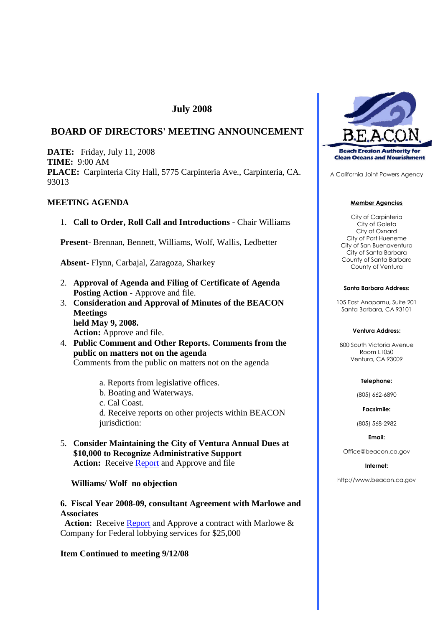# **July 2008**

# **BOARD OF DIRECTORS' MEETING ANNOUNCEMENT**

**DATE:** Friday, July 11, 2008 **TIME:** 9:00 AM **PLACE:** Carpinteria City Hall, 5775 Carpinteria Ave., Carpinteria, CA. 93013

# **MEETING AGENDA**

1. **Call to Order, Roll Call and Introductions** - Chair Williams

**Present**- Brennan, Bennett, Williams, Wolf, Wallis, Ledbetter

**Absent**- Flynn, Carbajal, Zaragoza, Sharkey

- 2. **Approval of Agenda and Filing of Certificate of Agenda Posting Action** - Approve and file.
- 3. **Consideration and Approval of Minutes of the BEACON Meetings held May 9, 2008. Action:** Approve and file.
- 4. **Public Comment and Other Reports. Comments from the public on matters not on the agenda** Comments from the public on matters not on the agenda
	- a. Reports from legislative offices.
	- b. Boating and Waterways.
	- c. Cal Coast.

d. Receive reports on other projects within BEACON jurisdiction:

5. **Consider Maintaining the City of Ventura Annual Dues at \$10,000 to Recognize Administrative Support Action:** Receive Report and Approve and file

### **Williams/ Wolf no objection**

# **6. Fiscal Year 2008-09, consultant Agreement with Marlowe and Associates**

Action: Receive **Report** and Approve a contract with Marlowe & Company for Federal lobbying services for \$25,000

# **Item Continued to meeting 9/12/08**



A California Joint Powers Agency

#### **Member Agencies**

City of Carpinteria City of Goleta City of Oxnard City of Port Hueneme City of San Buenaventura City of Santa Barbara County of Santa Barbara County of Ventura

#### **Santa Barbara Address:**

105 East Anapamu, Suite 201 Santa Barbara, CA 93101

#### **Ventura Address:**

800 South Victoria Avenue Room L1050 Ventura, CA 93009

#### **Telephone:**

(805) 662-6890

**Facsimile:**

(805) 568-2982

#### **Email:**

Office@beacon.ca.gov

#### **Internet:**

http://www.beacon.ca.gov